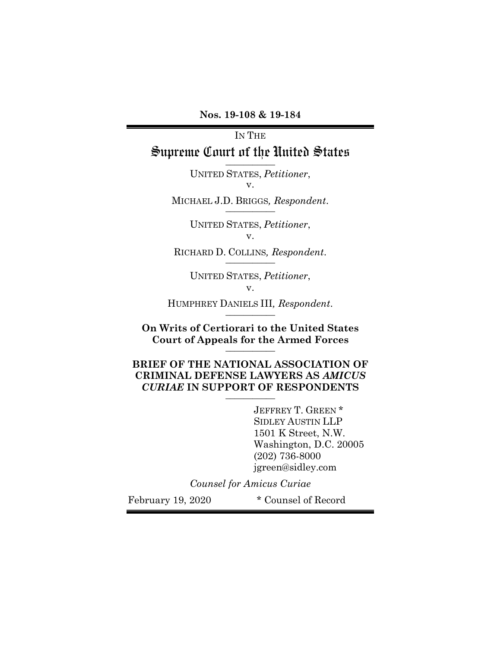**Nos. 19-108 & 19-184**

# IN THE Supreme Court of the United States **\_\_\_\_\_\_\_\_\_\_\_**

UNITED STATES, *Petitioner*, v.

MICHAEL J.D. BRIGGS*, Respondent*. **\_\_\_\_\_\_\_\_\_\_\_**

UNITED STATES, *Petitioner*, v.

RICHARD D. COLLINS*, Respondent*. **\_\_\_\_\_\_\_\_\_\_\_**

UNITED STATES, *Petitioner*, v.

HUMPHREY DANIELS III*, Respondent*. **\_\_\_\_\_\_\_\_\_\_\_**

**On Writs of Certiorari to the United States Court of Appeals for the Armed Forces \_\_\_\_\_\_\_\_\_\_\_**

**BRIEF OF THE NATIONAL ASSOCIATION OF CRIMINAL DEFENSE LAWYERS AS** *AMICUS CURIAE* **IN SUPPORT OF RESPONDENTS \_\_\_\_\_\_\_\_\_\_\_**

> JEFFREY T. GREEN \* SIDLEY AUSTIN LLP 1501 K Street, N.W. Washington, D.C. 20005 (202) 736-8000 jgreen@sidley.com

*Counsel for Amicus Curiae*

February 19, 2020 \* Counsel of Record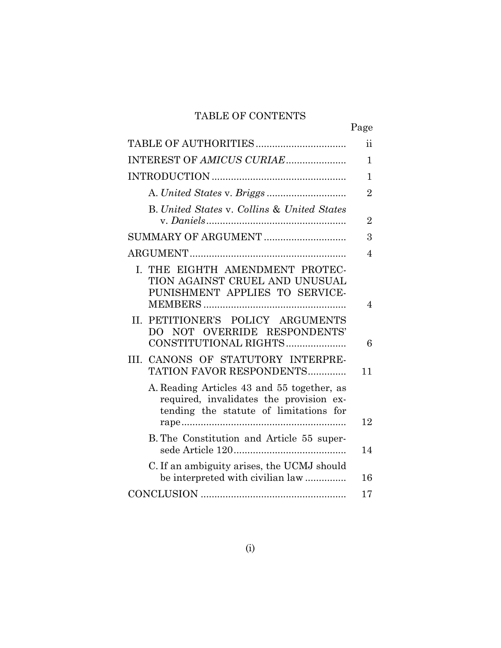# TABLE OF CONTENTS

|                                                                                                                                 | Page           |
|---------------------------------------------------------------------------------------------------------------------------------|----------------|
|                                                                                                                                 | ii             |
| INTEREST OF AMICUS CURIAE                                                                                                       | 1              |
|                                                                                                                                 | 1              |
|                                                                                                                                 | $\overline{2}$ |
| <b>B.</b> United States v. Collins & United States                                                                              | $\overline{2}$ |
|                                                                                                                                 | 3              |
|                                                                                                                                 | 4              |
| I. THE EIGHTH AMENDMENT PROTEC-<br>TION AGAINST CRUEL AND UNUSUAL<br>PUNISHMENT APPLIES TO SERVICE-                             | $\overline{4}$ |
| PETITIONER'S POLICY ARGUMENTS<br>H.<br>DO NOT OVERRIDE RESPONDENTS'<br>CONSTITUTIONAL RIGHTS                                    | 6              |
| III. CANONS OF STATUTORY INTERPRE-<br>TATION FAVOR RESPONDENTS                                                                  | 11             |
| A. Reading Articles 43 and 55 together, as<br>required, invalidates the provision ex-<br>tending the statute of limitations for | 12             |
| B. The Constitution and Article 55 super-                                                                                       | 14             |
| C. If an ambiguity arises, the UCMJ should<br>be interpreted with civilian law                                                  | 16             |
|                                                                                                                                 | 17             |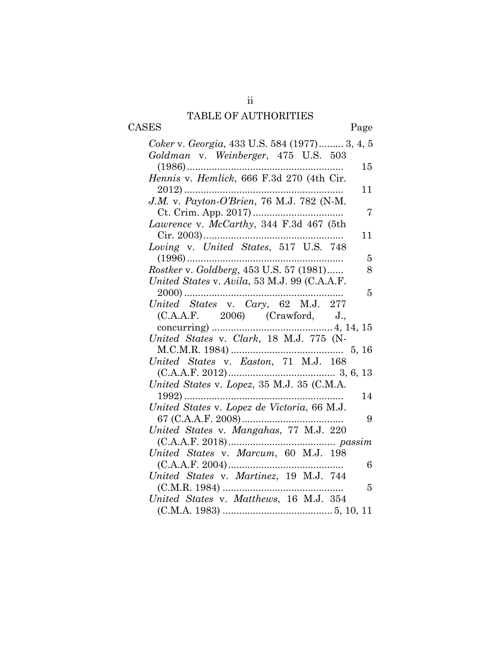# TABLE OF AUTHORITIES

| CASES |  |
|-------|--|
|-------|--|

Page

| Coker v. Georgia, 433 U.S. 584 (1977) 3, 4, 5 |
|-----------------------------------------------|
| Goldman v. Weinberger, 475 U.S. 503           |
| $(1986)$<br>15                                |
|                                               |
| 11                                            |
| J.M. v. Payton-O'Brien, 76 M.J. 782 (N-M.     |
| 7                                             |
| Lawrence v. McCarthy, 344 F.3d 467 (5th       |
| 11                                            |
|                                               |
| 5                                             |
| Rostker v. Goldberg, 453 U.S. 57 (1981)<br>8  |
| United States v. Avila, 53 M.J. 99 (C.A.A.F.  |
| $2000)$<br>5                                  |
| United States v. Cary, 62 M.J. 277            |
| (C.A.A.F. 2006) (Crawford, J.,                |
|                                               |
|                                               |
|                                               |
| United States v. Easton, 71 M.J. 168          |
|                                               |
| United States v. Lopez, 35 M.J. 35 (C.M.A.    |
| 14                                            |
| United States v. Lopez de Victoria, 66 M.J.   |
| 9                                             |
| United States v. Mangahas, 77 M.J. 220        |
|                                               |
| United States v. Marcum, 60 M.J. 198          |
| 6                                             |
| United States v. Martinez, 19 M.J. 744        |
| 5                                             |
| United States v. Matthews, 16 M.J. 354        |
|                                               |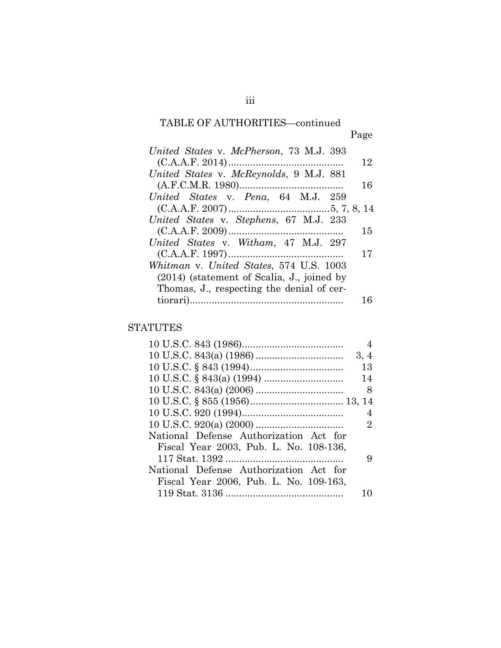## TABLE OF AUTHORITIES—continued Page

| United States v. McPherson, 73 M.J. 393      |    |
|----------------------------------------------|----|
|                                              | 12 |
| United States v. McReynolds, 9 M.J. 881      |    |
|                                              | 16 |
| United States v. Pena, 64 M.J. 259           |    |
|                                              |    |
| United States v. Stephens, 67 M.J. 233       |    |
|                                              | 15 |
| United States v. Witham, 47 M.J. 297         |    |
|                                              | 17 |
| Whitman v. United States, 574 U.S. 1003      |    |
| $(2014)$ (statement of Scalia, J., joined by |    |
| Thomas, J., respecting the denial of cer-    |    |
|                                              | 16 |

### STATUTES

|                                        | 4          |
|----------------------------------------|------------|
|                                        | 3, 4       |
|                                        | 13         |
|                                        | 14         |
|                                        | - 8        |
|                                        |            |
|                                        | 4          |
|                                        | 2          |
| National Defense Authorization Act for |            |
| Fiscal Year 2003, Pub. L. No. 108-136, |            |
|                                        | 9          |
| National Defense Authorization Act for |            |
| Fiscal Year 2006, Pub. L. No. 109-163, |            |
|                                        | $\vert$ () |
|                                        |            |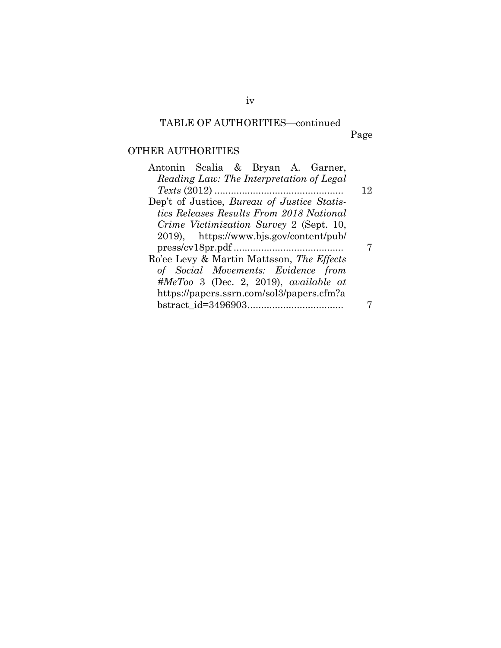# TABLE OF AUTHORITIES—continued

Page

# OTHER AUTHORITIES

| 12 |
|----|
|    |
|    |
|    |
|    |
|    |
|    |
|    |
|    |
|    |
|    |
|    |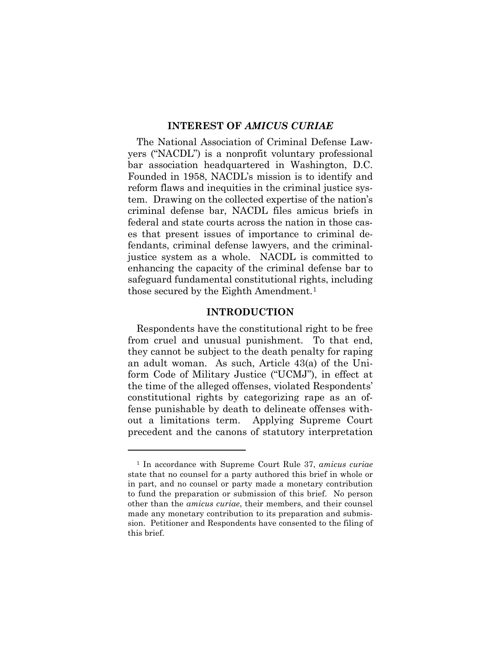#### **INTEREST OF** *AMICUS CURIAE*

The National Association of Criminal Defense Lawyers ("NACDL") is a nonprofit voluntary professional bar association headquartered in Washington, D.C. Founded in 1958, NACDL's mission is to identify and reform flaws and inequities in the criminal justice system. Drawing on the collected expertise of the nation's criminal defense bar, NACDL files amicus briefs in federal and state courts across the nation in those cases that present issues of importance to criminal defendants, criminal defense lawyers, and the criminaljustice system as a whole. NACDL is committed to enhancing the capacity of the criminal defense bar to safeguard fundamental constitutional rights, including those secured by the Eighth Amendment.1

#### **INTRODUCTION**

Respondents have the constitutional right to be free from cruel and unusual punishment. To that end, they cannot be subject to the death penalty for raping an adult woman. As such, Article 43(a) of the Uniform Code of Military Justice ("UCMJ"), in effect at the time of the alleged offenses, violated Respondents' constitutional rights by categorizing rape as an offense punishable by death to delineate offenses without a limitations term. Applying Supreme Court precedent and the canons of statutory interpretation

 $\overline{a}$ 

<sup>1</sup> In accordance with Supreme Court Rule 37, *amicus curiae* state that no counsel for a party authored this brief in whole or in part, and no counsel or party made a monetary contribution to fund the preparation or submission of this brief. No person other than the *amicus curiae*, their members, and their counsel made any monetary contribution to its preparation and submission. Petitioner and Respondents have consented to the filing of this brief.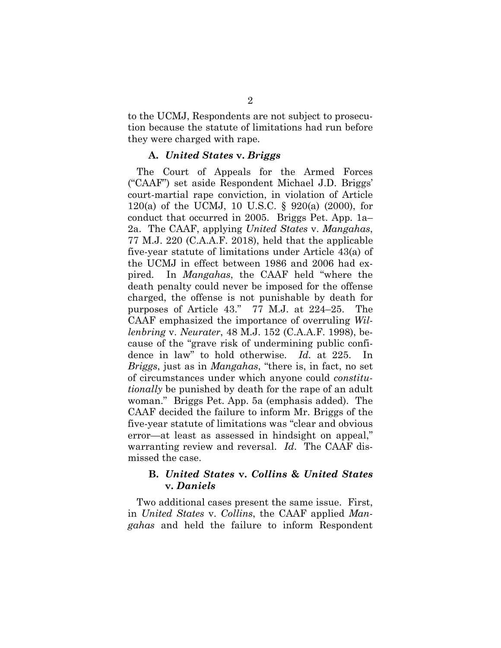to the UCMJ, Respondents are not subject to prosecution because the statute of limitations had run before they were charged with rape.

#### **A.** *United States* **v.** *Briggs*

The Court of Appeals for the Armed Forces ("CAAF") set aside Respondent Michael J.D. Briggs' court-martial rape conviction, in violation of Article 120(a) of the UCMJ, 10 U.S.C. § 920(a) (2000), for conduct that occurred in 2005. Briggs Pet. App. 1a– 2a. The CAAF, applying *United States* v. *Mangahas*, 77 M.J. 220 (C.A.A.F. 2018), held that the applicable five-year statute of limitations under Article 43(a) of the UCMJ in effect between 1986 and 2006 had expired. In *Mangahas*, the CAAF held "where the death penalty could never be imposed for the offense charged, the offense is not punishable by death for purposes of Article 43." 77 M.J. at 224–25. The CAAF emphasized the importance of overruling *Willenbring* v. *Neurater*, 48 M.J. 152 (C.A.A.F. 1998), because of the "grave risk of undermining public confidence in law" to hold otherwise. *Id.* at 225. *Briggs*, just as in *Mangahas*, "there is, in fact, no set of circumstances under which anyone could *constitutionally* be punished by death for the rape of an adult woman." Briggs Pet. App. 5a (emphasis added). The CAAF decided the failure to inform Mr. Briggs of the five-year statute of limitations was "clear and obvious error—at least as assessed in hindsight on appeal," warranting review and reversal. *Id*. The CAAF dismissed the case.

#### **B.** *United States* **v.** *Collins* **&** *United States*  **v.** *Daniels*

Two additional cases present the same issue. First, in *United States* v. *Collins*, the CAAF applied *Mangahas* and held the failure to inform Respondent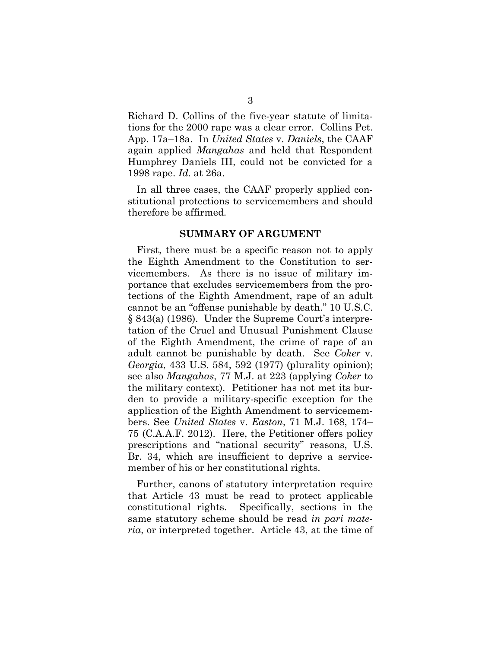Richard D. Collins of the five-year statute of limitations for the 2000 rape was a clear error. Collins Pet. App. 17a–18a. In *United States* v. *Daniels*, the CAAF again applied *Mangahas* and held that Respondent Humphrey Daniels III, could not be convicted for a 1998 rape. *Id.* at 26a.

In all three cases, the CAAF properly applied constitutional protections to servicemembers and should therefore be affirmed.

#### **SUMMARY OF ARGUMENT**

First, there must be a specific reason not to apply the Eighth Amendment to the Constitution to servicemembers. As there is no issue of military importance that excludes servicemembers from the protections of the Eighth Amendment, rape of an adult cannot be an "offense punishable by death." 10 U.S.C. § 843(a) (1986). Under the Supreme Court's interpretation of the Cruel and Unusual Punishment Clause of the Eighth Amendment, the crime of rape of an adult cannot be punishable by death. See *Coker* v. *Georgia*, 433 U.S. 584, 592 (1977) (plurality opinion); see also *Mangahas*, 77 M.J. at 223 (applying *Coker* to the military context). Petitioner has not met its burden to provide a military-specific exception for the application of the Eighth Amendment to servicemembers. See *United States* v. *Easton*, 71 M.J. 168, 174– 75 (C.A.A.F. 2012). Here, the Petitioner offers policy prescriptions and "national security" reasons, U.S. Br. 34, which are insufficient to deprive a servicemember of his or her constitutional rights.

Further, canons of statutory interpretation require that Article 43 must be read to protect applicable constitutional rights. Specifically, sections in the same statutory scheme should be read *in pari materia*, or interpreted together. Article 43, at the time of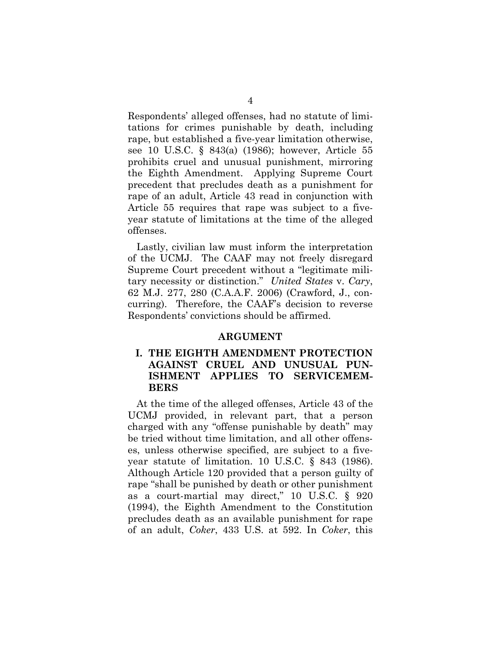Respondents' alleged offenses, had no statute of limitations for crimes punishable by death, including rape, but established a five-year limitation otherwise, see 10 U.S.C. § 843(a) (1986); however, Article 55 prohibits cruel and unusual punishment, mirroring the Eighth Amendment. Applying Supreme Court precedent that precludes death as a punishment for rape of an adult, Article 43 read in conjunction with Article 55 requires that rape was subject to a fiveyear statute of limitations at the time of the alleged offenses.

Lastly, civilian law must inform the interpretation of the UCMJ. The CAAF may not freely disregard Supreme Court precedent without a "legitimate military necessity or distinction." *United States* v. *Cary*, 62 M.J. 277, 280 (C.A.A.F. 2006) (Crawford, J., concurring). Therefore, the CAAF's decision to reverse Respondents' convictions should be affirmed.

#### **ARGUMENT**

#### **I. THE EIGHTH AMENDMENT PROTECTION AGAINST CRUEL AND UNUSUAL PUN-ISHMENT APPLIES TO SERVICEMEM-BERS**

At the time of the alleged offenses, Article 43 of the UCMJ provided, in relevant part, that a person charged with any "offense punishable by death" may be tried without time limitation, and all other offenses, unless otherwise specified, are subject to a fiveyear statute of limitation. 10 U.S.C. § 843 (1986). Although Article 120 provided that a person guilty of rape "shall be punished by death or other punishment as a court-martial may direct," 10 U.S.C. § 920 (1994), the Eighth Amendment to the Constitution precludes death as an available punishment for rape of an adult, *Coker*, 433 U.S. at 592. In *Coker*, this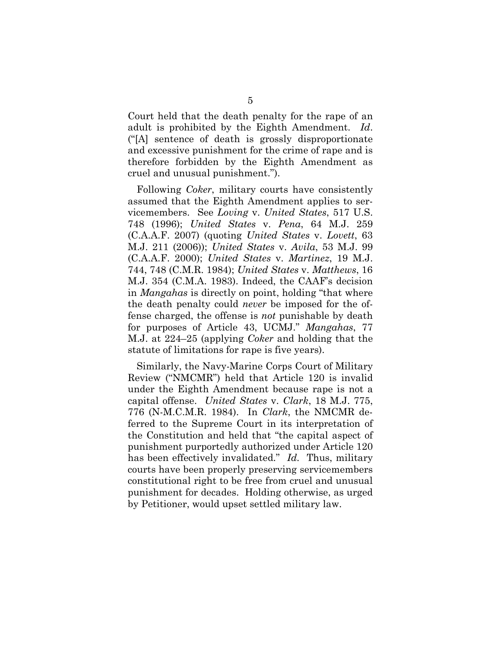Court held that the death penalty for the rape of an adult is prohibited by the Eighth Amendment. *Id*. ("[A] sentence of death is grossly disproportionate and excessive punishment for the crime of rape and is therefore forbidden by the Eighth Amendment as cruel and unusual punishment.").

Following *Coker*, military courts have consistently assumed that the Eighth Amendment applies to servicemembers. See *Loving* v. *United States*, 517 U.S. 748 (1996); *United States* v. *Pena*, 64 M.J. 259 (C.A.A.F. 2007) (quoting *United States* v. *Lovett*, 63 M.J. 211 (2006)); *United States* v. *Avila*, 53 M.J. 99 (C.A.A.F. 2000); *United States* v. *Martinez*, 19 M.J. 744, 748 (C.M.R. 1984); *United States* v. *Matthews*, 16 M.J. 354 (C.M.A. 1983). Indeed, the CAAF's decision in *Mangahas* is directly on point, holding "that where the death penalty could *never* be imposed for the offense charged, the offense is *not* punishable by death for purposes of Article 43, UCMJ." *Mangahas*, 77 M.J. at 224–25 (applying *Coker* and holding that the statute of limitations for rape is five years).

Similarly, the Navy-Marine Corps Court of Military Review ("NMCMR") held that Article 120 is invalid under the Eighth Amendment because rape is not a capital offense. *United States* v. *Clark*, 18 M.J. 775, 776 (N-M.C.M.R. 1984). In *Clark*, the NMCMR deferred to the Supreme Court in its interpretation of the Constitution and held that "the capital aspect of punishment purportedly authorized under Article 120 has been effectively invalidated." *Id.* Thus, military courts have been properly preserving servicemembers constitutional right to be free from cruel and unusual punishment for decades. Holding otherwise, as urged by Petitioner, would upset settled military law.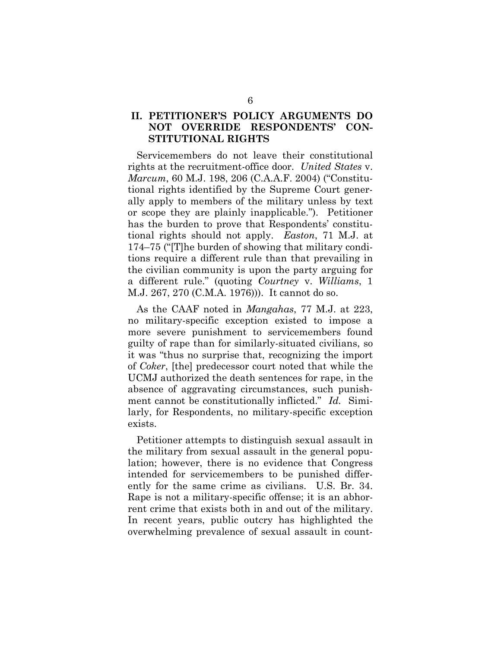### **II. PETITIONER'S POLICY ARGUMENTS DO NOT OVERRIDE RESPONDENTS' CON-STITUTIONAL RIGHTS**

Servicemembers do not leave their constitutional rights at the recruitment-office door. *United States* v. *Marcum*, 60 M.J. 198, 206 (C.A.A.F. 2004) ("Constitutional rights identified by the Supreme Court generally apply to members of the military unless by text or scope they are plainly inapplicable."). Petitioner has the burden to prove that Respondents' constitutional rights should not apply. *Easton*, 71 M.J. at 174–75 ("[T]he burden of showing that military conditions require a different rule than that prevailing in the civilian community is upon the party arguing for a different rule." (quoting *Courtney* v. *Williams*, 1 M.J. 267, 270 (C.M.A. 1976))). It cannot do so.

As the CAAF noted in *Mangahas*, 77 M.J. at 223, no military-specific exception existed to impose a more severe punishment to servicemembers found guilty of rape than for similarly-situated civilians, so it was "thus no surprise that, recognizing the import of *Coker*, [the] predecessor court noted that while the UCMJ authorized the death sentences for rape, in the absence of aggravating circumstances, such punishment cannot be constitutionally inflicted." *Id.* Similarly, for Respondents, no military-specific exception exists.

Petitioner attempts to distinguish sexual assault in the military from sexual assault in the general population; however, there is no evidence that Congress intended for servicemembers to be punished differently for the same crime as civilians. U.S. Br. 34. Rape is not a military-specific offense; it is an abhorrent crime that exists both in and out of the military. In recent years, public outcry has highlighted the overwhelming prevalence of sexual assault in count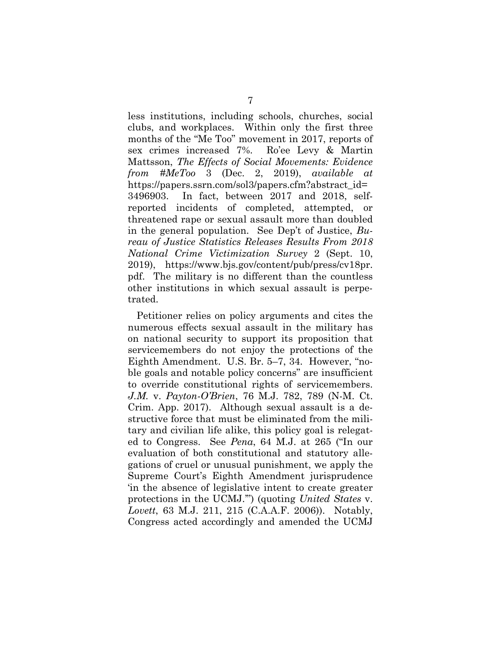less institutions, including schools, churches, social clubs, and workplaces. Within only the first three months of the "Me Too" movement in 2017, reports of sex crimes increased 7%. Ro'ee Levy & Martin Mattsson, *The Effects of Social Movements: Evidence from #MeToo* 3 (Dec. 2, 2019), *available at* https://papers.ssrn.com/sol3/papers.cfm?abstract\_id= 3496903. In fact, between 2017 and 2018, selfreported incidents of completed, attempted, or threatened rape or sexual assault more than doubled in the general population. See Dep't of Justice, *Bureau of Justice Statistics Releases Results From 2018 National Crime Victimization Survey* 2 (Sept. 10, 2019), https://www.bjs.gov/content/pub/press/cv18pr. pdf. The military is no different than the countless other institutions in which sexual assault is perpetrated.

Petitioner relies on policy arguments and cites the numerous effects sexual assault in the military has on national security to support its proposition that servicemembers do not enjoy the protections of the Eighth Amendment. U.S. Br. 5–7, 34. However, "noble goals and notable policy concerns" are insufficient to override constitutional rights of servicemembers. *J.M.* v. *Payton-O'Brien*, 76 M.J. 782, 789 (N-M. Ct. Crim. App. 2017). Although sexual assault is a destructive force that must be eliminated from the military and civilian life alike, this policy goal is relegated to Congress. See *Pena*, 64 M.J. at 265 ("In our evaluation of both constitutional and statutory allegations of cruel or unusual punishment, we apply the Supreme Court's Eighth Amendment jurisprudence 'in the absence of legislative intent to create greater protections in the UCMJ.'") (quoting *United States* v. *Lovett*, 63 M.J. 211, 215 (C.A.A.F. 2006)). Notably, Congress acted accordingly and amended the UCMJ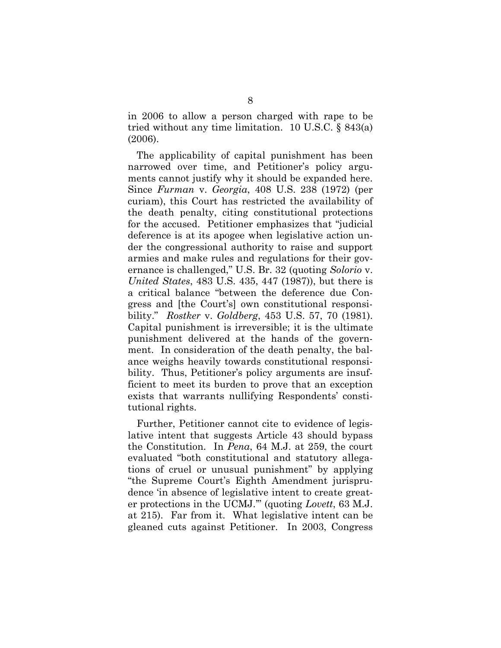in 2006 to allow a person charged with rape to be tried without any time limitation. 10 U.S.C. § 843(a) (2006).

The applicability of capital punishment has been narrowed over time, and Petitioner's policy arguments cannot justify why it should be expanded here. Since *Furman* v. *Georgia*, 408 U.S. 238 (1972) (per curiam), this Court has restricted the availability of the death penalty, citing constitutional protections for the accused. Petitioner emphasizes that "judicial deference is at its apogee when legislative action under the congressional authority to raise and support armies and make rules and regulations for their governance is challenged," U.S. Br. 32 (quoting *Solorio* v. *United States*, 483 U.S. 435, 447 (1987)), but there is a critical balance "between the deference due Congress and [the Court's] own constitutional responsibility." *Rostker* v. *Goldberg*, 453 U.S. 57, 70 (1981). Capital punishment is irreversible; it is the ultimate punishment delivered at the hands of the government. In consideration of the death penalty, the balance weighs heavily towards constitutional responsibility. Thus, Petitioner's policy arguments are insufficient to meet its burden to prove that an exception exists that warrants nullifying Respondents' constitutional rights.

Further, Petitioner cannot cite to evidence of legislative intent that suggests Article 43 should bypass the Constitution. In *Pena*, 64 M.J. at 259, the court evaluated "both constitutional and statutory allegations of cruel or unusual punishment" by applying "the Supreme Court's Eighth Amendment jurisprudence 'in absence of legislative intent to create greater protections in the UCMJ.'" (quoting *Lovett*, 63 M.J. at 215). Far from it. What legislative intent can be gleaned cuts against Petitioner. In 2003, Congress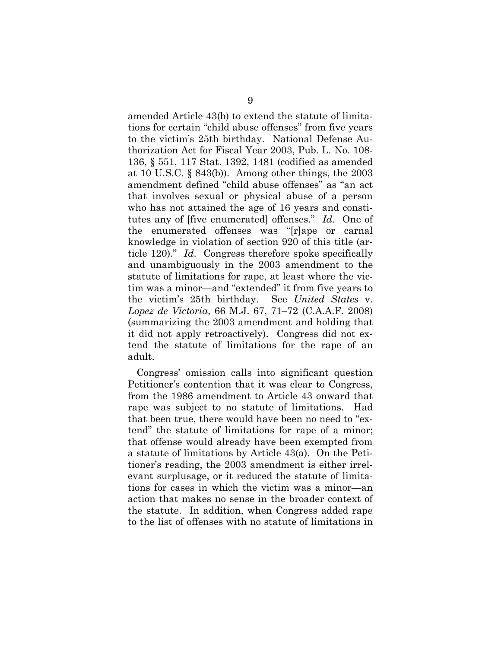amended Article 43(b) to extend the statute of limitations for certain "child abuse offenses" from five years to the victim's 25th birthday. National Defense Authorization Act for Fiscal Year 2003, Pub. L. No. 108- 136, § 551, 117 Stat. 1392, 1481 (codified as amended at 10 U.S.C. § 843(b)). Among other things, the 2003 amendment defined "child abuse offenses" as "an act that involves sexual or physical abuse of a person who has not attained the age of 16 years and constitutes any of [five enumerated] offenses." *Id*. One of the enumerated offenses was "[r]ape or carnal knowledge in violation of section 920 of this title (article 120)." *Id*. Congress therefore spoke specifically and unambiguously in the 2003 amendment to the statute of limitations for rape, at least where the victim was a minor—and "extended" it from five years to the victim's 25th birthday. See *United States* v. *Lopez de Victoria*, 66 M.J. 67, 71–72 (C.A.A.F. 2008) (summarizing the 2003 amendment and holding that it did not apply retroactively). Congress did not extend the statute of limitations for the rape of an adult.

Congress' omission calls into significant question Petitioner's contention that it was clear to Congress, from the 1986 amendment to Article 43 onward that rape was subject to no statute of limitations. Had that been true, there would have been no need to "extend" the statute of limitations for rape of a minor; that offense would already have been exempted from a statute of limitations by Article 43(a). On the Petitioner's reading, the 2003 amendment is either irrelevant surplusage, or it reduced the statute of limitations for cases in which the victim was a minor—an action that makes no sense in the broader context of the statute. In addition, when Congress added rape to the list of offenses with no statute of limitations in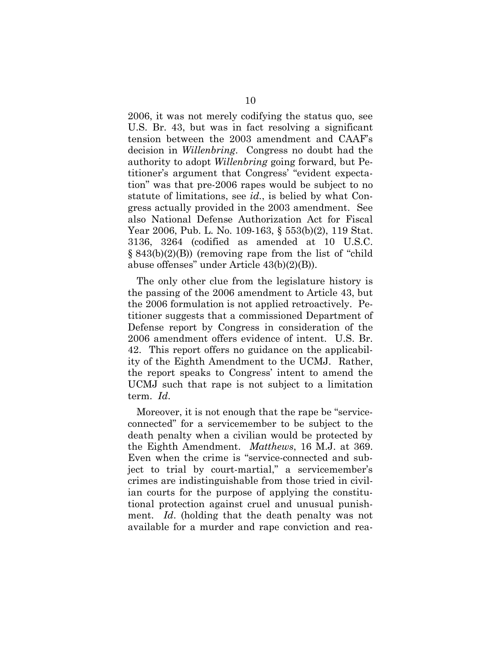2006, it was not merely codifying the status quo, see U.S. Br. 43, but was in fact resolving a significant tension between the 2003 amendment and CAAF's decision in *Willenbring*. Congress no doubt had the authority to adopt *Willenbring* going forward, but Petitioner's argument that Congress' "evident expectation" was that pre-2006 rapes would be subject to no statute of limitations, see *id.*, is belied by what Congress actually provided in the 2003 amendment. See also National Defense Authorization Act for Fiscal Year 2006, Pub. L. No. 109-163, § 553(b)(2), 119 Stat. 3136, 3264 (codified as amended at 10 U.S.C. § 843(b)(2)(B)) (removing rape from the list of "child abuse offenses" under Article 43(b)(2)(B)).

The only other clue from the legislature history is the passing of the 2006 amendment to Article 43, but the 2006 formulation is not applied retroactively. Petitioner suggests that a commissioned Department of Defense report by Congress in consideration of the 2006 amendment offers evidence of intent. U.S. Br. 42. This report offers no guidance on the applicability of the Eighth Amendment to the UCMJ. Rather, the report speaks to Congress' intent to amend the UCMJ such that rape is not subject to a limitation term. *Id*.

Moreover, it is not enough that the rape be "serviceconnected" for a servicemember to be subject to the death penalty when a civilian would be protected by the Eighth Amendment. *Matthews*, 16 M.J. at 369. Even when the crime is "service-connected and subject to trial by court-martial," a servicemember's crimes are indistinguishable from those tried in civilian courts for the purpose of applying the constitutional protection against cruel and unusual punishment. *Id*. (holding that the death penalty was not available for a murder and rape conviction and rea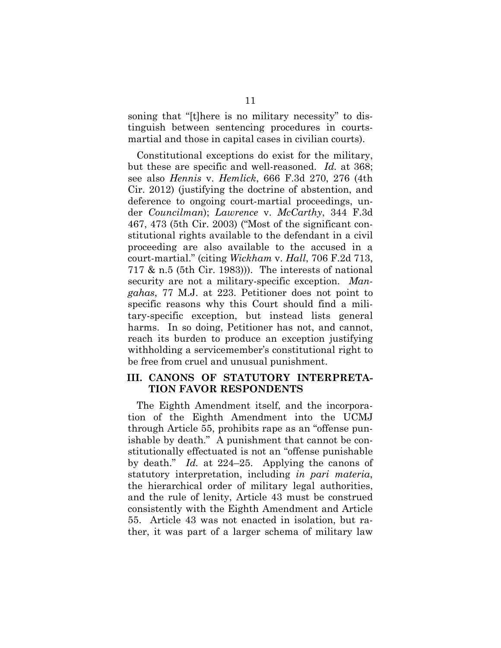soning that "[t]here is no military necessity" to distinguish between sentencing procedures in courtsmartial and those in capital cases in civilian courts).

Constitutional exceptions do exist for the military, but these are specific and well-reasoned. *Id.* at 368; see also *Hennis* v. *Hemlick*, 666 F.3d 270, 276 (4th Cir. 2012) (justifying the doctrine of abstention, and deference to ongoing court-martial proceedings, under *Councilman*); *Lawrence* v. *McCarthy*, 344 F.3d 467, 473 (5th Cir. 2003) ("Most of the significant constitutional rights available to the defendant in a civil proceeding are also available to the accused in a court-martial." (citing *Wickham* v. *Hall*, 706 F.2d 713, 717 & n.5 (5th Cir. 1983))). The interests of national security are not a military-specific exception. *Mangahas*, 77 M.J. at 223. Petitioner does not point to specific reasons why this Court should find a military-specific exception, but instead lists general harms. In so doing, Petitioner has not, and cannot, reach its burden to produce an exception justifying withholding a servicemember's constitutional right to be free from cruel and unusual punishment.

### **III. CANONS OF STATUTORY INTERPRETA-TION FAVOR RESPONDENTS**

The Eighth Amendment itself, and the incorporation of the Eighth Amendment into the UCMJ through Article 55, prohibits rape as an "offense punishable by death." A punishment that cannot be constitutionally effectuated is not an "offense punishable by death." *Id.* at 224–25. Applying the canons of statutory interpretation, including *in pari materia*, the hierarchical order of military legal authorities, and the rule of lenity, Article 43 must be construed consistently with the Eighth Amendment and Article 55. Article 43 was not enacted in isolation, but rather, it was part of a larger schema of military law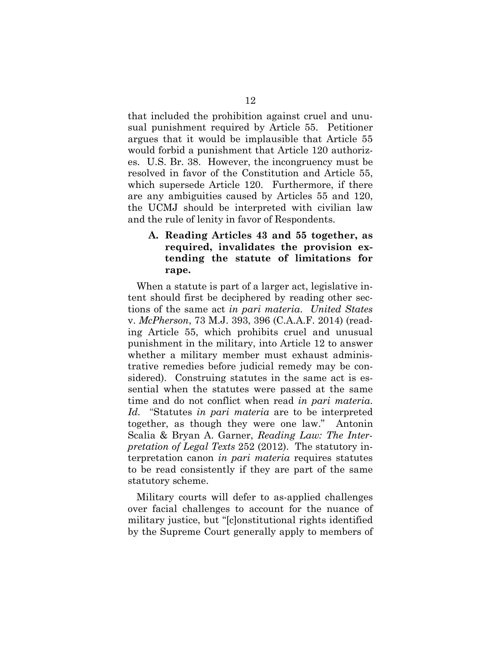that included the prohibition against cruel and unusual punishment required by Article 55. Petitioner argues that it would be implausible that Article 55 would forbid a punishment that Article 120 authorizes. U.S. Br. 38. However, the incongruency must be resolved in favor of the Constitution and Article 55, which supersede Article 120. Furthermore, if there are any ambiguities caused by Articles 55 and 120, the UCMJ should be interpreted with civilian law and the rule of lenity in favor of Respondents.

### **A. Reading Articles 43 and 55 together, as required, invalidates the provision extending the statute of limitations for rape.**

When a statute is part of a larger act, legislative intent should first be deciphered by reading other sections of the same act *in pari materia*. *United States*  v. *McPherson*, 73 M.J. 393, 396 (C.A.A.F. 2014) (reading Article 55, which prohibits cruel and unusual punishment in the military, into Article 12 to answer whether a military member must exhaust administrative remedies before judicial remedy may be considered). Construing statutes in the same act is essential when the statutes were passed at the same time and do not conflict when read *in pari materia*. *Id.* "Statutes *in pari materia* are to be interpreted together, as though they were one law." Antonin Scalia & Bryan A. Garner, *Reading Law: The Interpretation of Legal Texts* 252 (2012). The statutory interpretation canon *in pari materia* requires statutes to be read consistently if they are part of the same statutory scheme.

Military courts will defer to as-applied challenges over facial challenges to account for the nuance of military justice, but "[c]onstitutional rights identified by the Supreme Court generally apply to members of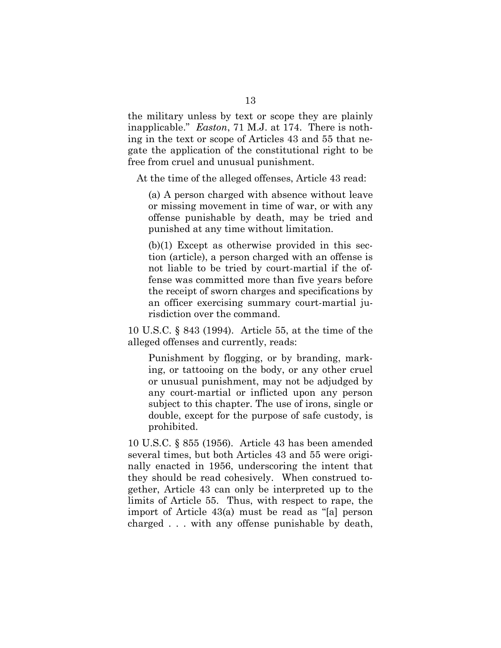the military unless by text or scope they are plainly inapplicable." *Easton*, 71 M.J. at 174. There is nothing in the text or scope of Articles 43 and 55 that negate the application of the constitutional right to be free from cruel and unusual punishment.

At the time of the alleged offenses, Article 43 read:

(a) A person charged with absence without leave or missing movement in time of war, or with any offense punishable by death, may be tried and punished at any time without limitation.

(b)(1) Except as otherwise provided in this section (article), a person charged with an offense is not liable to be tried by court-martial if the offense was committed more than five years before the receipt of sworn charges and specifications by an officer exercising summary court-martial jurisdiction over the command.

10 U.S.C. § 843 (1994). Article 55, at the time of the alleged offenses and currently, reads:

Punishment by flogging, or by branding, marking, or tattooing on the body, or any other cruel or unusual punishment, may not be adjudged by any court-martial or inflicted upon any person subject to this chapter. The use of irons, single or double, except for the purpose of safe custody, is prohibited.

10 U.S.C. § 855 (1956). Article 43 has been amended several times, but both Articles 43 and 55 were originally enacted in 1956, underscoring the intent that they should be read cohesively. When construed together, Article 43 can only be interpreted up to the limits of Article 55. Thus, with respect to rape, the import of Article 43(a) must be read as "[a] person charged . . . with any offense punishable by death,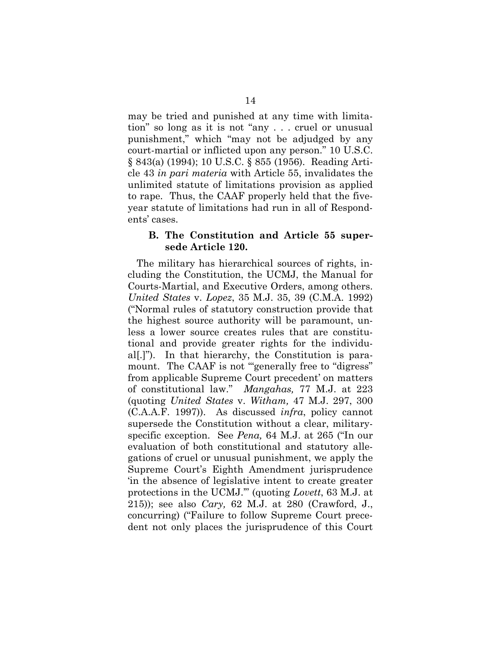may be tried and punished at any time with limitation" so long as it is not "any . . . cruel or unusual punishment," which "may not be adjudged by any court-martial or inflicted upon any person." 10 U.S.C. § 843(a) (1994); 10 U.S.C. § 855 (1956). Reading Article 43 *in pari materia* with Article 55, invalidates the unlimited statute of limitations provision as applied to rape. Thus, the CAAF properly held that the fiveyear statute of limitations had run in all of Respondents' cases.

#### **B. The Constitution and Article 55 supersede Article 120.**

The military has hierarchical sources of rights, including the Constitution, the UCMJ, the Manual for Courts-Martial, and Executive Orders, among others. *United States* v. *Lopez*, 35 M.J. 35, 39 (C.M.A. 1992) ("Normal rules of statutory construction provide that the highest source authority will be paramount, unless a lower source creates rules that are constitutional and provide greater rights for the individual[.]"). In that hierarchy, the Constitution is paramount. The CAAF is not "generally free to "digress" from applicable Supreme Court precedent' on matters of constitutional law." *Mangahas,* 77 M.J. at 223 (quoting *United States* v. *Witham,* 47 M.J. 297, 300 (C.A.A.F. 1997)). As discussed *infra*, policy cannot supersede the Constitution without a clear, militaryspecific exception. See *Pena,* 64 M.J. at 265 ("In our evaluation of both constitutional and statutory allegations of cruel or unusual punishment, we apply the Supreme Court's Eighth Amendment jurisprudence 'in the absence of legislative intent to create greater protections in the UCMJ.'" (quoting *Lovett*, 63 M.J. at 215)); see also *Cary,* 62 M.J. at 280 (Crawford, J., concurring) ("Failure to follow Supreme Court precedent not only places the jurisprudence of this Court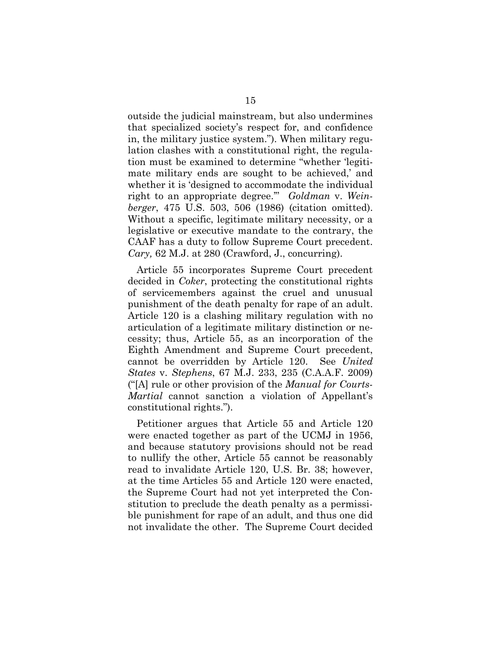outside the judicial mainstream, but also undermines that specialized society's respect for, and confidence in, the military justice system."). When military regulation clashes with a constitutional right, the regulation must be examined to determine "whether 'legitimate military ends are sought to be achieved,' and whether it is 'designed to accommodate the individual right to an appropriate degree.'" *Goldman* v. *Weinberger*, 475 U.S. 503, 506 (1986) (citation omitted). Without a specific, legitimate military necessity, or a legislative or executive mandate to the contrary, the CAAF has a duty to follow Supreme Court precedent. *Cary,* 62 M.J. at 280 (Crawford, J., concurring).

Article 55 incorporates Supreme Court precedent decided in *Coker*, protecting the constitutional rights of servicemembers against the cruel and unusual punishment of the death penalty for rape of an adult. Article 120 is a clashing military regulation with no articulation of a legitimate military distinction or necessity; thus, Article 55, as an incorporation of the Eighth Amendment and Supreme Court precedent, cannot be overridden by Article 120. See *United States* v. *Stephens*, 67 M.J. 233, 235 (C.A.A.F. 2009) ("[A] rule or other provision of the *Manual for Courts-Martial* cannot sanction a violation of Appellant's constitutional rights.").

Petitioner argues that Article 55 and Article 120 were enacted together as part of the UCMJ in 1956, and because statutory provisions should not be read to nullify the other, Article 55 cannot be reasonably read to invalidate Article 120, U.S. Br. 38; however, at the time Articles 55 and Article 120 were enacted, the Supreme Court had not yet interpreted the Constitution to preclude the death penalty as a permissible punishment for rape of an adult, and thus one did not invalidate the other. The Supreme Court decided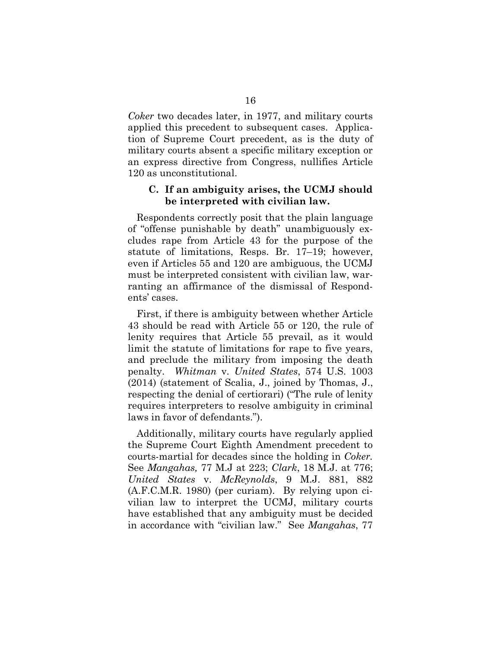*Coker* two decades later, in 1977, and military courts applied this precedent to subsequent cases. Application of Supreme Court precedent, as is the duty of military courts absent a specific military exception or an express directive from Congress, nullifies Article 120 as unconstitutional.

#### **C. If an ambiguity arises, the UCMJ should be interpreted with civilian law.**

Respondents correctly posit that the plain language of "offense punishable by death" unambiguously excludes rape from Article 43 for the purpose of the statute of limitations, Resps. Br. 17–19; however, even if Articles 55 and 120 are ambiguous, the UCMJ must be interpreted consistent with civilian law, warranting an affirmance of the dismissal of Respondents' cases.

First, if there is ambiguity between whether Article 43 should be read with Article 55 or 120, the rule of lenity requires that Article 55 prevail, as it would limit the statute of limitations for rape to five years, and preclude the military from imposing the death penalty. *Whitman* v. *United States*, 574 U.S. 1003 (2014) (statement of Scalia, J., joined by Thomas, J., respecting the denial of certiorari) ("The rule of lenity requires interpreters to resolve ambiguity in criminal laws in favor of defendants.").

Additionally, military courts have regularly applied the Supreme Court Eighth Amendment precedent to courts-martial for decades since the holding in *Coker.*  See *Mangahas,* 77 M.J at 223; *Clark*, 18 M.J. at 776; *United States* v. *McReynolds*, 9 M.J. 881, 882 (A.F.C.M.R. 1980) (per curiam). By relying upon civilian law to interpret the UCMJ, military courts have established that any ambiguity must be decided in accordance with "civilian law." See *Mangahas*, 77